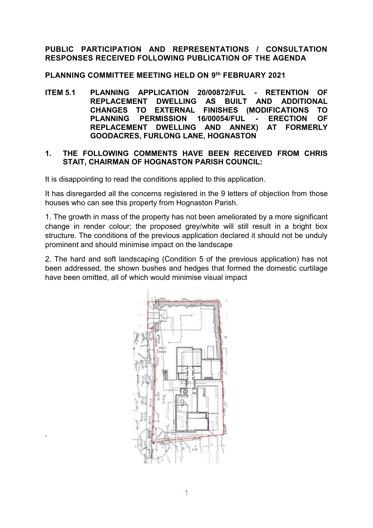# **PUBLIC PARTICIPATION AND REPRESENTATIONS / CONSULTATION RESPONSES RECEIVED FOLLOWING PUBLICATION OF THE AGENDA**

**PLANNING COMMITTEE MEETING HELD ON 9 th FEBRUARY 2021**

**ITEM 5.1 PLANNING APPLICATION 20/00872/FUL - RETENTION OF REPLACEMENT DWELLING AS BUILT AND ADDITIONAL CHANGES TO EXTERNAL FINISHES (MODIFICATIONS TO PLANNING PERMISSION 16/00054/FUL - ERECTION OF REPLACEMENT DWELLING AND ANNEX) AT FORMERLY GOODACRES, FURLONG LANE, HOGNASTON**

### **1. THE FOLLOWING COMMENTS HAVE BEEN RECEIVED FROM CHRIS STAIT, CHAIRMAN OF HOGNASTON PARISH COUNCIL:**

It is disappointing to read the conditions applied to this application.

It has disregarded all the concerns registered in the 9 letters of objection from those houses who can see this property from Hognaston Parish.

1. The growth in mass of the property has not been ameliorated by a more significant change in render colour; the proposed grey/white will still result in a bright box structure. The conditions of the previous application declared it should not be unduly prominent and should minimise impact on the landscape

2. The hard and soft landscaping (Condition 5 of the previous application) has not been addressed, the shown bushes and hedges that formed the domestic curtilage have been omitted, all of which would minimise visual impact



.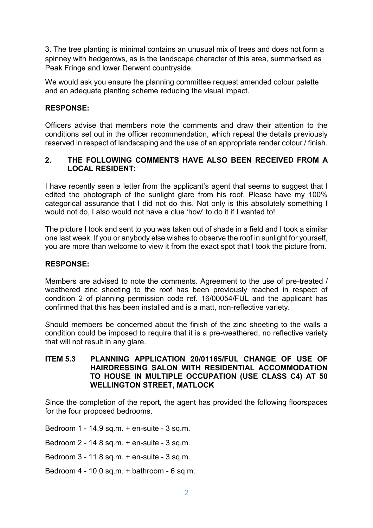3. The tree planting is minimal contains an unusual mix of trees and does not form a spinney with hedgerows, as is the landscape character of this area, summarised as Peak Fringe and lower Derwent countryside.

We would ask you ensure the planning committee request amended colour palette and an adequate planting scheme reducing the visual impact.

## **RESPONSE:**

Officers advise that members note the comments and draw their attention to the conditions set out in the officer recommendation, which repeat the details previously reserved in respect of landscaping and the use of an appropriate render colour / finish.

### **2. THE FOLLOWING COMMENTS HAVE ALSO BEEN RECEIVED FROM A LOCAL RESIDENT:**

I have recently seen a letter from the applicant's agent that seems to suggest that I edited the photograph of the sunlight glare from his roof. Please have my 100% categorical assurance that I did not do this. Not only is this absolutely something I would not do, I also would not have a clue 'how' to do it if I wanted to!

The picture I took and sent to you was taken out of shade in a field and I took a similar one last week. If you or anybody else wishes to observe the roof in sunlight for yourself, you are more than welcome to view it from the exact spot that I took the picture from.

#### **RESPONSE:**

Members are advised to note the comments. Agreement to the use of pre-treated / weathered zinc sheeting to the roof has been previously reached in respect of condition 2 of planning permission code ref. 16/00054/FUL and the applicant has confirmed that this has been installed and is a matt, non-reflective variety.

Should members be concerned about the finish of the zinc sheeting to the walls a condition could be imposed to require that it is a pre-weathered, no reflective variety that will not result in any glare.

#### **ITEM 5.3 PLANNING APPLICATION 20/01165/FUL CHANGE OF USE OF HAIRDRESSING SALON WITH RESIDENTIAL ACCOMMODATION TO HOUSE IN MULTIPLE OCCUPATION (USE CLASS C4) AT 50 WELLINGTON STREET, MATLOCK**

Since the completion of the report, the agent has provided the following floorspaces for the four proposed bedrooms.

Bedroom 1 - 14.9 sq.m. + en-suite - 3 sq.m.

Bedroom 2 - 14.8 sq.m. + en-suite - 3 sq.m.

Bedroom 3 - 11.8 sq.m. + en-suite - 3 sq.m.

Bedroom 4 - 10.0 sq.m. + bathroom - 6 sq.m.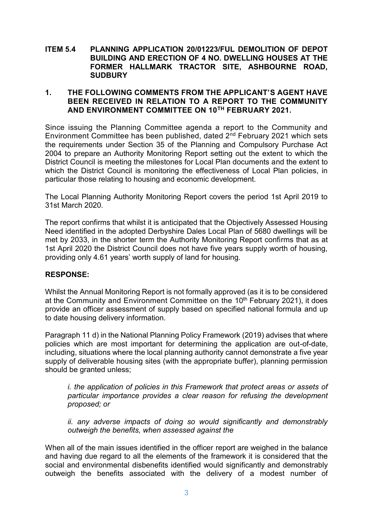#### **ITEM 5.4 PLANNING APPLICATION 20/01223/FUL DEMOLITION OF DEPOT BUILDING AND ERECTION OF 4 NO. DWELLING HOUSES AT THE FORMER HALLMARK TRACTOR SITE, ASHBOURNE ROAD, SUDBURY**

#### **1. THE FOLLOWING COMMENTS FROM THE APPLICANT'S AGENT HAVE BEEN RECEIVED IN RELATION TO A REPORT TO THE COMMUNITY AND ENVIRONMENT COMMITTEE ON 10TH FEBRUARY 2021.**

Since issuing the Planning Committee agenda a report to the Community and Environment Committee has been published, dated  $2<sup>nd</sup>$  February 2021 which sets the requirements under Section 35 of the Planning and Compulsory Purchase Act 2004 to prepare an Authority Monitoring Report setting out the extent to which the District Council is meeting the milestones for Local Plan documents and the extent to which the District Council is monitoring the effectiveness of Local Plan policies, in particular those relating to housing and economic development.

The Local Planning Authority Monitoring Report covers the period 1st April 2019 to 31st March 2020.

The report confirms that whilst it is anticipated that the Objectively Assessed Housing Need identified in the adopted Derbyshire Dales Local Plan of 5680 dwellings will be met by 2033, in the shorter term the Authority Monitoring Report confirms that as at 1st April 2020 the District Council does not have five years supply worth of housing, providing only 4.61 years' worth supply of land for housing.

#### **RESPONSE:**

Whilst the Annual Monitoring Report is not formally approved (as it is to be considered at the Community and Environment Committee on the 10<sup>th</sup> February 2021), it does provide an officer assessment of supply based on specified national formula and up to date housing delivery information.

Paragraph 11 d) in the National Planning Policy Framework (2019) advises that where policies which are most important for determining the application are out-of-date, including, situations where the local planning authority cannot demonstrate a five year supply of deliverable housing sites (with the appropriate buffer), planning permission should be granted unless;

*i. the application of policies in this Framework that protect areas or assets of particular importance provides a clear reason for refusing the development proposed; or*

*ii. any adverse impacts of doing so would significantly and demonstrably outweigh the benefits, when assessed against the*

When all of the main issues identified in the officer report are weighed in the balance and having due regard to all the elements of the framework it is considered that the social and environmental disbenefits identified would significantly and demonstrably outweigh the benefits associated with the delivery of a modest number of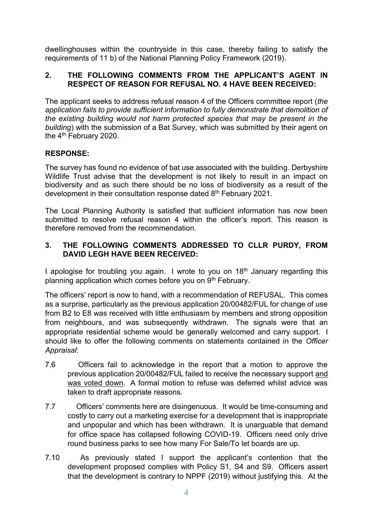dwellinghouses within the countryside in this case, thereby failing to satisfy the requirements of 11 b) of the National Planning Policy Framework (2019).

# **2. THE FOLLOWING COMMENTS FROM THE APPLICANT'S AGENT IN RESPECT OF REASON FOR REFUSAL NO. 4 HAVE BEEN RECEIVED:**

The applicant seeks to address refusal reason 4 of the Officers committee report (*the application fails to provide sufficient information to fully demonstrate that demolition of the existing building would not harm protected species that may be present in the building*) with the submission of a Bat Survey, which was submitted by their agent on the 4<sup>th</sup> February 2020.

# **RESPONSE:**

The survey has found no evidence of bat use associated with the building. Derbyshire Wildlife Trust advise that the development is not likely to result in an impact on biodiversity and as such there should be no loss of biodiversity as a result of the development in their consultation response dated 8<sup>th</sup> February 2021.

The Local Planning Authority is satisfied that sufficient information has now been submitted to resolve refusal reason 4 within the officer's report. This reason is therefore removed from the recommendation.

## **3. THE FOLLOWING COMMENTS ADDRESSED TO CLLR PURDY, FROM DAVID LEGH HAVE BEEN RECEIVED:**

I apologise for troubling you again. I wrote to you on  $18<sup>th</sup>$  January regarding this planning application which comes before you on 9<sup>th</sup> February.

The officers' report is now to hand, with a recommendation of REFUSAL. This comes as a surprise, particularly as the previous application 20/00482/FUL for change of use from B2 to E8 was received with little enthusiasm by members and strong opposition from neighbours, and was subsequently withdrawn. The signals were that an appropriate residential scheme would be generally welcomed and carry support. I should like to offer the following comments on statements contained in the *Officer Appraisal*:

- 7.6 Officers fail to acknowledge in the report that a motion to approve the previous application 20/00482/FUL failed to receive the necessary support and was voted down. A formal motion to refuse was deferred whilst advice was taken to draft appropriate reasons.
- 7.7 Officers' comments here are disingenuous. It would be time-consuming and costly to carry out a marketing exercise for a development that is inappropriate and unpopular and which has been withdrawn. It is unarguable that demand for office space has collapsed following COVID-19. Officers need only drive round business parks to see how many For Sale/To let boards are up.
- 7.10 As previously stated I support the applicant's contention that the development proposed complies with Policy S1, S4 and S9. Officers assert that the development is contrary to NPPF (2019) without justifying this. At the